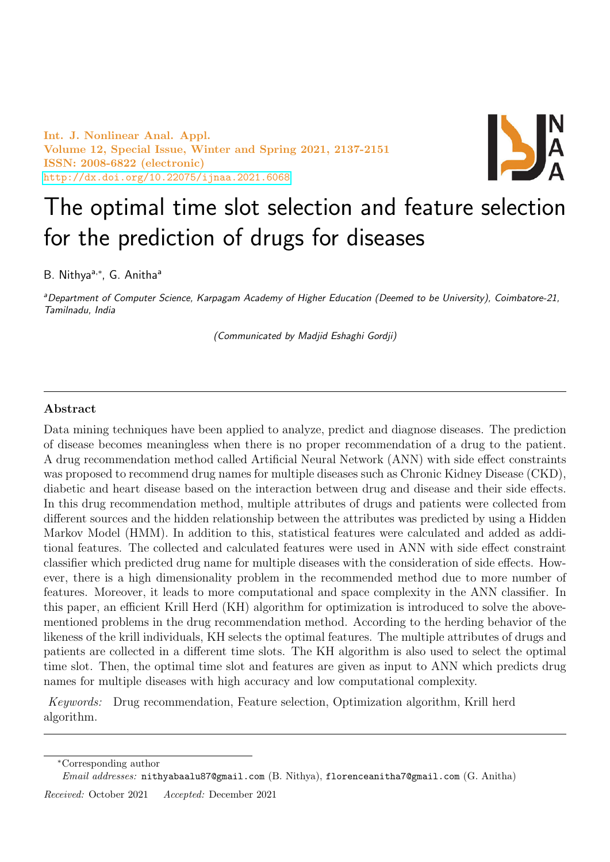Int. J. Nonlinear Anal. Appl. Volume 12, Special Issue, Winter and Spring 2021, 2137-2151 ISSN: 2008-6822 (electronic) <http://dx.doi.org/10.22075/ijnaa.2021.6068>



# The optimal time slot selection and feature selection for the prediction of drugs for diseases

B. Nithya<sup>a,\*</sup>, G. Anitha<sup>a</sup>

aDepartment of Computer Science, Karpagam Academy of Higher Education (Deemed to be University), Coimbatore-21, Tamilnadu, India

(Communicated by Madjid Eshaghi Gordji)

## Abstract

Data mining techniques have been applied to analyze, predict and diagnose diseases. The prediction of disease becomes meaningless when there is no proper recommendation of a drug to the patient. A drug recommendation method called Artificial Neural Network (ANN) with side effect constraints was proposed to recommend drug names for multiple diseases such as Chronic Kidney Disease (CKD), diabetic and heart disease based on the interaction between drug and disease and their side effects. In this drug recommendation method, multiple attributes of drugs and patients were collected from different sources and the hidden relationship between the attributes was predicted by using a Hidden Markov Model (HMM). In addition to this, statistical features were calculated and added as additional features. The collected and calculated features were used in ANN with side effect constraint classifier which predicted drug name for multiple diseases with the consideration of side effects. However, there is a high dimensionality problem in the recommended method due to more number of features. Moreover, it leads to more computational and space complexity in the ANN classifier. In this paper, an efficient Krill Herd (KH) algorithm for optimization is introduced to solve the abovementioned problems in the drug recommendation method. According to the herding behavior of the likeness of the krill individuals, KH selects the optimal features. The multiple attributes of drugs and patients are collected in a different time slots. The KH algorithm is also used to select the optimal time slot. Then, the optimal time slot and features are given as input to ANN which predicts drug names for multiple diseases with high accuracy and low computational complexity.

Keywords: Drug recommendation, Feature selection, Optimization algorithm, Krill herd algorithm.

Email addresses: nithyabaalu87@gmail.com (B. Nithya), florenceanitha7@gmail.com (G. Anitha)

Received: October 2021 Accepted: December 2021

<sup>∗</sup>Corresponding author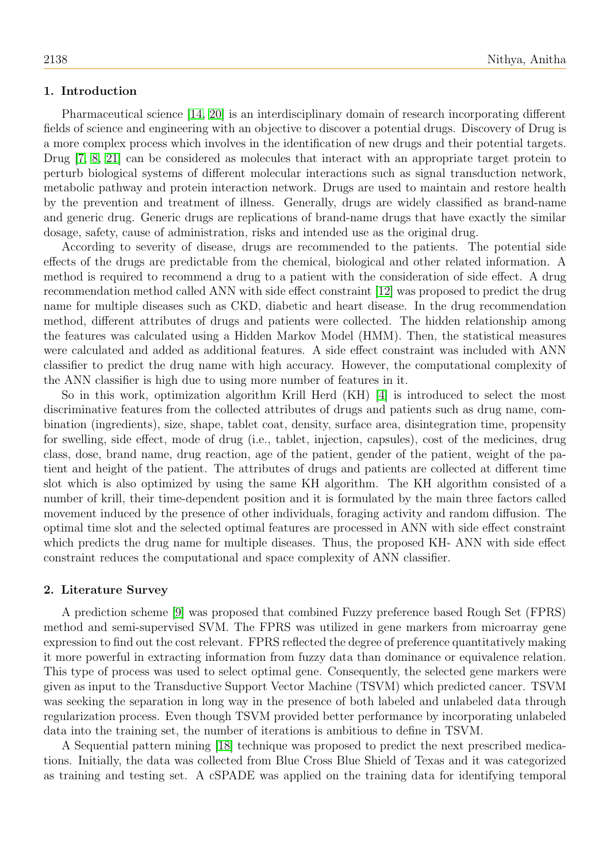### 1. Introduction

Pharmaceutical science [\[14,](#page-14-0) [20\]](#page-14-1) is an interdisciplinary domain of research incorporating different fields of science and engineering with an objective to discover a potential drugs. Discovery of Drug is a more complex process which involves in the identification of new drugs and their potential targets. Drug [\[7,](#page-14-2) [8,](#page-14-3) [21\]](#page-14-4) can be considered as molecules that interact with an appropriate target protein to perturb biological systems of different molecular interactions such as signal transduction network, metabolic pathway and protein interaction network. Drugs are used to maintain and restore health by the prevention and treatment of illness. Generally, drugs are widely classified as brand-name and generic drug. Generic drugs are replications of brand-name drugs that have exactly the similar dosage, safety, cause of administration, risks and intended use as the original drug.

According to severity of disease, drugs are recommended to the patients. The potential side effects of the drugs are predictable from the chemical, biological and other related information. A method is required to recommend a drug to a patient with the consideration of side effect. A drug recommendation method called ANN with side effect constraint [\[12\]](#page-14-5) was proposed to predict the drug name for multiple diseases such as CKD, diabetic and heart disease. In the drug recommendation method, different attributes of drugs and patients were collected. The hidden relationship among the features was calculated using a Hidden Markov Model (HMM). Then, the statistical measures were calculated and added as additional features. A side effect constraint was included with ANN classifier to predict the drug name with high accuracy. However, the computational complexity of the ANN classifier is high due to using more number of features in it.

So in this work, optimization algorithm Krill Herd (KH) [\[4\]](#page-14-6) is introduced to select the most discriminative features from the collected attributes of drugs and patients such as drug name, combination (ingredients), size, shape, tablet coat, density, surface area, disintegration time, propensity for swelling, side effect, mode of drug (i.e., tablet, injection, capsules), cost of the medicines, drug class, dose, brand name, drug reaction, age of the patient, gender of the patient, weight of the patient and height of the patient. The attributes of drugs and patients are collected at different time slot which is also optimized by using the same KH algorithm. The KH algorithm consisted of a number of krill, their time-dependent position and it is formulated by the main three factors called movement induced by the presence of other individuals, foraging activity and random diffusion. The optimal time slot and the selected optimal features are processed in ANN with side effect constraint which predicts the drug name for multiple diseases. Thus, the proposed KH- ANN with side effect constraint reduces the computational and space complexity of ANN classifier.

#### 2. Literature Survey

A prediction scheme [\[9\]](#page-14-7) was proposed that combined Fuzzy preference based Rough Set (FPRS) method and semi-supervised SVM. The FPRS was utilized in gene markers from microarray gene expression to find out the cost relevant. FPRS reflected the degree of preference quantitatively making it more powerful in extracting information from fuzzy data than dominance or equivalence relation. This type of process was used to select optimal gene. Consequently, the selected gene markers were given as input to the Transductive Support Vector Machine (TSVM) which predicted cancer. TSVM was seeking the separation in long way in the presence of both labeled and unlabeled data through regularization process. Even though TSVM provided better performance by incorporating unlabeled data into the training set, the number of iterations is ambitious to define in TSVM.

A Sequential pattern mining [\[18\]](#page-14-8) technique was proposed to predict the next prescribed medications. Initially, the data was collected from Blue Cross Blue Shield of Texas and it was categorized as training and testing set. A cSPADE was applied on the training data for identifying temporal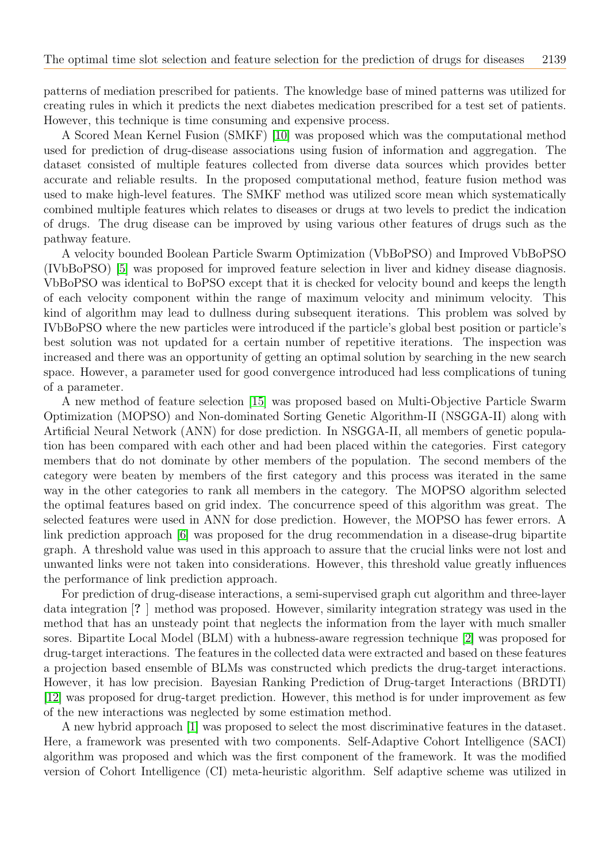patterns of mediation prescribed for patients. The knowledge base of mined patterns was utilized for creating rules in which it predicts the next diabetes medication prescribed for a test set of patients. However, this technique is time consuming and expensive process.

A Scored Mean Kernel Fusion (SMKF) [\[10\]](#page-14-9) was proposed which was the computational method used for prediction of drug-disease associations using fusion of information and aggregation. The dataset consisted of multiple features collected from diverse data sources which provides better accurate and reliable results. In the proposed computational method, feature fusion method was used to make high-level features. The SMKF method was utilized score mean which systematically combined multiple features which relates to diseases or drugs at two levels to predict the indication of drugs. The drug disease can be improved by using various other features of drugs such as the pathway feature.

A velocity bounded Boolean Particle Swarm Optimization (VbBoPSO) and Improved VbBoPSO (IVbBoPSO) [\[5\]](#page-14-10) was proposed for improved feature selection in liver and kidney disease diagnosis. VbBoPSO was identical to BoPSO except that it is checked for velocity bound and keeps the length of each velocity component within the range of maximum velocity and minimum velocity. This kind of algorithm may lead to dullness during subsequent iterations. This problem was solved by IVbBoPSO where the new particles were introduced if the particle's global best position or particle's best solution was not updated for a certain number of repetitive iterations. The inspection was increased and there was an opportunity of getting an optimal solution by searching in the new search space. However, a parameter used for good convergence introduced had less complications of tuning of a parameter.

A new method of feature selection [\[15\]](#page-14-11) was proposed based on Multi-Objective Particle Swarm Optimization (MOPSO) and Non-dominated Sorting Genetic Algorithm-II (NSGGA-II) along with Artificial Neural Network (ANN) for dose prediction. In NSGGA-II, all members of genetic population has been compared with each other and had been placed within the categories. First category members that do not dominate by other members of the population. The second members of the category were beaten by members of the first category and this process was iterated in the same way in the other categories to rank all members in the category. The MOPSO algorithm selected the optimal features based on grid index. The concurrence speed of this algorithm was great. The selected features were used in ANN for dose prediction. However, the MOPSO has fewer errors. A link prediction approach [\[6\]](#page-14-12) was proposed for the drug recommendation in a disease-drug bipartite graph. A threshold value was used in this approach to assure that the crucial links were not lost and unwanted links were not taken into considerations. However, this threshold value greatly influences the performance of link prediction approach.

For prediction of drug-disease interactions, a semi-supervised graph cut algorithm and three-layer data integration [? ] method was proposed. However, similarity integration strategy was used in the method that has an unsteady point that neglects the information from the layer with much smaller sores. Bipartite Local Model (BLM) with a hubness-aware regression technique [\[2\]](#page-14-13) was proposed for drug-target interactions. The features in the collected data were extracted and based on these features a projection based ensemble of BLMs was constructed which predicts the drug-target interactions. However, it has low precision. Bayesian Ranking Prediction of Drug-target Interactions (BRDTI) [\[12\]](#page-14-5) was proposed for drug-target prediction. However, this method is for under improvement as few of the new interactions was neglected by some estimation method.

A new hybrid approach [\[1\]](#page-13-0) was proposed to select the most discriminative features in the dataset. Here, a framework was presented with two components. Self-Adaptive Cohort Intelligence (SACI) algorithm was proposed and which was the first component of the framework. It was the modified version of Cohort Intelligence (CI) meta-heuristic algorithm. Self adaptive scheme was utilized in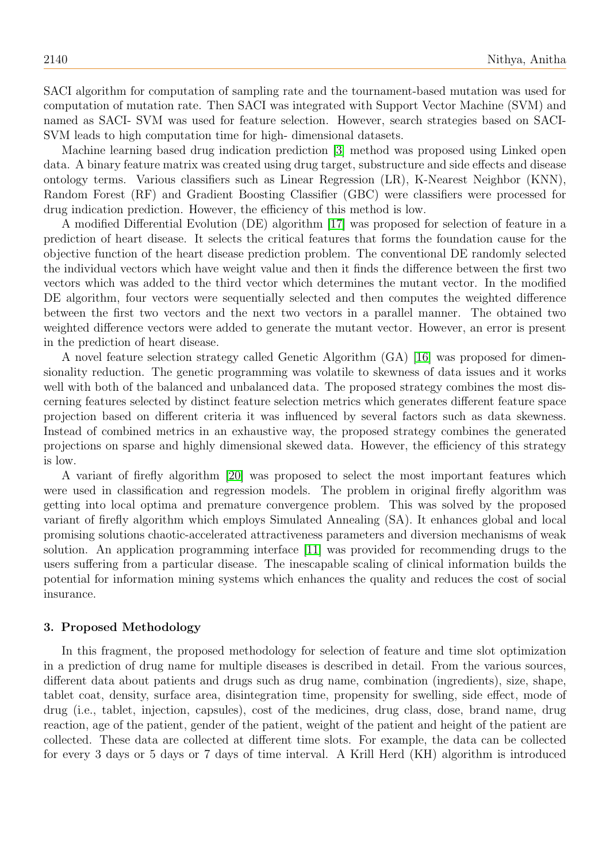SACI algorithm for computation of sampling rate and the tournament-based mutation was used for computation of mutation rate. Then SACI was integrated with Support Vector Machine (SVM) and named as SACI- SVM was used for feature selection. However, search strategies based on SACI-SVM leads to high computation time for high- dimensional datasets.

Machine learning based drug indication prediction [\[3\]](#page-14-14) method was proposed using Linked open data. A binary feature matrix was created using drug target, substructure and side effects and disease ontology terms. Various classifiers such as Linear Regression (LR), K-Nearest Neighbor (KNN), Random Forest (RF) and Gradient Boosting Classifier (GBC) were classifiers were processed for drug indication prediction. However, the efficiency of this method is low.

A modified Differential Evolution (DE) algorithm [\[17\]](#page-14-15) was proposed for selection of feature in a prediction of heart disease. It selects the critical features that forms the foundation cause for the objective function of the heart disease prediction problem. The conventional DE randomly selected the individual vectors which have weight value and then it finds the difference between the first two vectors which was added to the third vector which determines the mutant vector. In the modified DE algorithm, four vectors were sequentially selected and then computes the weighted difference between the first two vectors and the next two vectors in a parallel manner. The obtained two weighted difference vectors were added to generate the mutant vector. However, an error is present in the prediction of heart disease.

A novel feature selection strategy called Genetic Algorithm (GA) [\[16\]](#page-14-16) was proposed for dimensionality reduction. The genetic programming was volatile to skewness of data issues and it works well with both of the balanced and unbalanced data. The proposed strategy combines the most discerning features selected by distinct feature selection metrics which generates different feature space projection based on different criteria it was influenced by several factors such as data skewness. Instead of combined metrics in an exhaustive way, the proposed strategy combines the generated projections on sparse and highly dimensional skewed data. However, the efficiency of this strategy is low.

A variant of firefly algorithm [\[20\]](#page-14-1) was proposed to select the most important features which were used in classification and regression models. The problem in original firefly algorithm was getting into local optima and premature convergence problem. This was solved by the proposed variant of firefly algorithm which employs Simulated Annealing (SA). It enhances global and local promising solutions chaotic-accelerated attractiveness parameters and diversion mechanisms of weak solution. An application programming interface [\[11\]](#page-14-17) was provided for recommending drugs to the users suffering from a particular disease. The inescapable scaling of clinical information builds the potential for information mining systems which enhances the quality and reduces the cost of social insurance.

#### 3. Proposed Methodology

In this fragment, the proposed methodology for selection of feature and time slot optimization in a prediction of drug name for multiple diseases is described in detail. From the various sources, different data about patients and drugs such as drug name, combination (ingredients), size, shape, tablet coat, density, surface area, disintegration time, propensity for swelling, side effect, mode of drug (i.e., tablet, injection, capsules), cost of the medicines, drug class, dose, brand name, drug reaction, age of the patient, gender of the patient, weight of the patient and height of the patient are collected. These data are collected at different time slots. For example, the data can be collected for every 3 days or 5 days or 7 days of time interval. A Krill Herd (KH) algorithm is introduced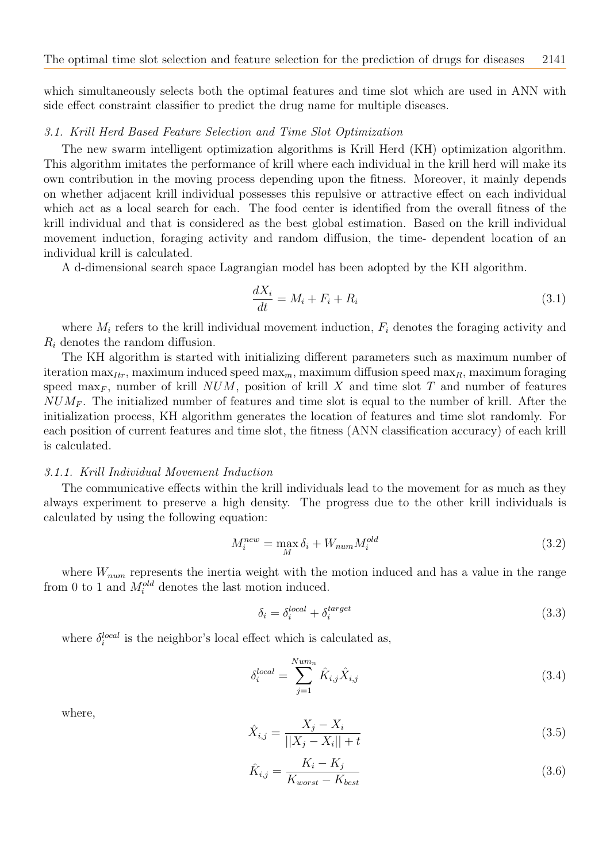which simultaneously selects both the optimal features and time slot which are used in ANN with side effect constraint classifier to predict the drug name for multiple diseases.

#### 3.1. Krill Herd Based Feature Selection and Time Slot Optimization

The new swarm intelligent optimization algorithms is Krill Herd (KH) optimization algorithm. This algorithm imitates the performance of krill where each individual in the krill herd will make its own contribution in the moving process depending upon the fitness. Moreover, it mainly depends on whether adjacent krill individual possesses this repulsive or attractive effect on each individual which act as a local search for each. The food center is identified from the overall fitness of the krill individual and that is considered as the best global estimation. Based on the krill individual movement induction, foraging activity and random diffusion, the time- dependent location of an individual krill is calculated.

A d-dimensional search space Lagrangian model has been adopted by the KH algorithm.

$$
\frac{dX_i}{dt} = M_i + F_i + R_i \tag{3.1}
$$

where  $M_i$  refers to the krill individual movement induction,  $F_i$  denotes the foraging activity and  $R_i$  denotes the random diffusion.

The KH algorithm is started with initializing different parameters such as maximum number of iteration max<sub>Itr</sub>, maximum induced speed max<sub>m</sub>, maximum diffusion speed max<sub>R</sub>, maximum foraging speed max<sub>F</sub>, number of krill  $NUM$ , position of krill X and time slot T and number of features  $NUM_F$ . The initialized number of features and time slot is equal to the number of krill. After the initialization process, KH algorithm generates the location of features and time slot randomly. For each position of current features and time slot, the fitness (ANN classification accuracy) of each krill is calculated.

#### 3.1.1. Krill Individual Movement Induction

The communicative effects within the krill individuals lead to the movement for as much as they always experiment to preserve a high density. The progress due to the other krill individuals is calculated by using the following equation:

<span id="page-4-0"></span>
$$
M_i^{new} = \max_M \delta_i + W_{num} M_i^{old}
$$
\n(3.2)

where  $W_{num}$  represents the inertia weight with the motion induced and has a value in the range from 0 to 1 and  $M_i^{old}$  denotes the last motion induced.

$$
\delta_i = \delta_i^{local} + \delta_i^{target} \tag{3.3}
$$

where  $\delta_i^{local}$  is the neighbor's local effect which is calculated as,

$$
\delta_i^{local} = \sum_{j=1}^{Num_n} \hat{K}_{i,j} \hat{X}_{i,j}
$$
\n(3.4)

where,

$$
\hat{X}_{i,j} = \frac{X_j - X_i}{||X_j - X_i|| + t}
$$
\n(3.5)

$$
\hat{K}_{i,j} = \frac{K_i - K_j}{K_{worst} - K_{best}}\tag{3.6}
$$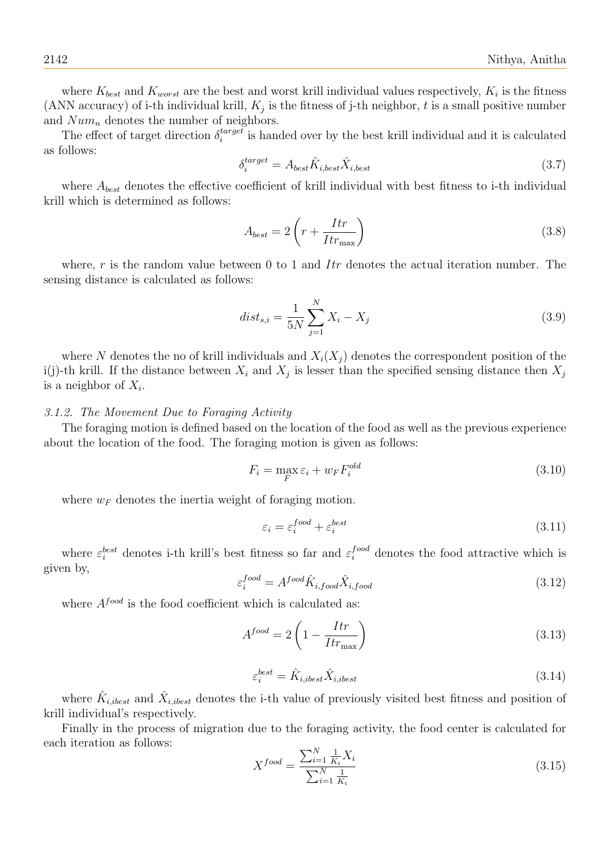where  $K_{best}$  and  $K_{worst}$  are the best and worst krill individual values respectively,  $K_i$  is the fitness (ANN accuracy) of i-th individual krill,  $K_j$  is the fitness of j-th neighbor, t is a small positive number and  $Num_n$  denotes the number of neighbors.

The effect of target direction  $\delta_i^{target}$  $i^{target}_{i}$  is handed over by the best krill individual and it is calculated as follows:

$$
\delta_i^{target} = A_{best} \hat{K}_{i,best} \hat{X}_{i,best}
$$
\n(3.7)

where  $A_{best}$  denotes the effective coefficient of krill individual with best fitness to i-th individual krill which is determined as follows:

$$
A_{best} = 2\left(r + \frac{Itr}{Itr_{\text{max}}}\right) \tag{3.8}
$$

where,  $r$  is the random value between 0 to 1 and  $Itr$  denotes the actual iteration number. The sensing distance is calculated as follows:

<span id="page-5-0"></span>
$$
dist_{s,i} = \frac{1}{5N} \sum_{j=1}^{N} X_i - X_j
$$
\n(3.9)

where N denotes the no of krill individuals and  $X_i(X_i)$  denotes the correspondent position of the i(j)-th krill. If the distance between  $X_i$  and  $X_j$  is lesser than the specified sensing distance then  $X_j$ is a neighbor of  $X_i$ .

## 3.1.2. The Movement Due to Foraging Activity

The foraging motion is defined based on the location of the food as well as the previous experience about the location of the food. The foraging motion is given as follows:

<span id="page-5-1"></span>
$$
F_i = \max_F \varepsilon_i + w_F F_i^{old} \tag{3.10}
$$

where  $w_F$  denotes the inertia weight of foraging motion.

$$
\varepsilon_i = \varepsilon_i^{food} + \varepsilon_i^{best} \tag{3.11}
$$

where  $\varepsilon_i^{best}$  denotes i-th krill's best fitness so far and  $\varepsilon_i^{food}$  denotes the food attractive which is given by,

$$
\varepsilon_i^{food} = A^{food}\hat{K}_{i,food}\hat{X}_{i,food}
$$
\n(3.12)

where  $A^{food}$  is the food coefficient which is calculated as:

$$
A^{food} = 2\left(1 - \frac{Itr}{Itr_{\text{max}}}\right) \tag{3.13}
$$

$$
\varepsilon_i^{best} = \hat{K}_{i,ibest} \hat{X}_{i,ibest} \tag{3.14}
$$

where  $\hat{K}_{i,ibest}$  and  $\hat{X}_{i,ibest}$  denotes the i-th value of previously visited best fitness and position of krill individual's respectively.

Finally in the process of migration due to the foraging activity, the food center is calculated for each iteration as follows:

<span id="page-5-2"></span>
$$
X^{food} = \frac{\sum_{i=1}^{N} \frac{1}{K_i} X_i}{\sum_{i=1}^{N} \frac{1}{K_i}}
$$
\n(3.15)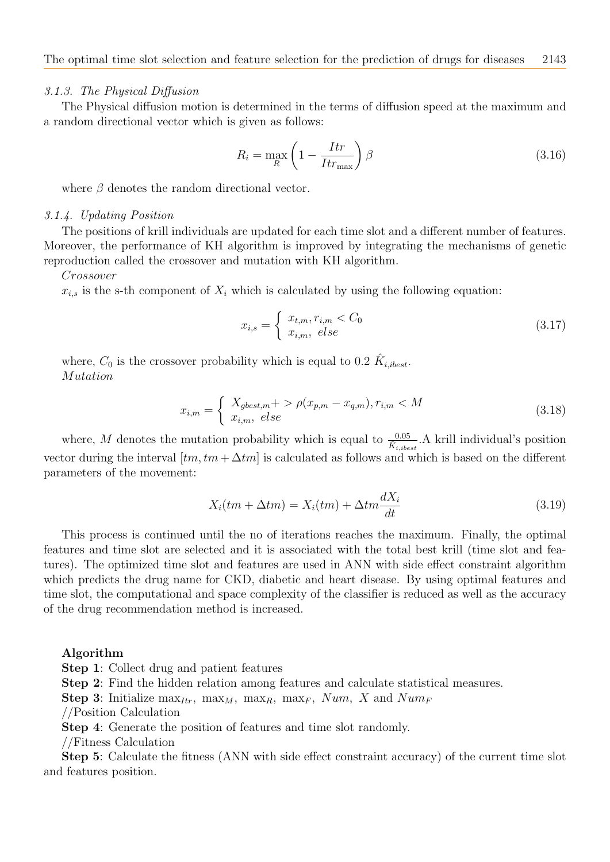#### 3.1.3. The Physical Diffusion

The Physical diffusion motion is determined in the terms of diffusion speed at the maximum and a random directional vector which is given as follows:

<span id="page-6-0"></span>
$$
R_i = \max_R \left( 1 - \frac{Itr}{Itr_{\text{max}}} \right) \beta \tag{3.16}
$$

where  $\beta$  denotes the random directional vector.

## 3.1.4. Updating Position

The positions of krill individuals are updated for each time slot and a different number of features. Moreover, the performance of KH algorithm is improved by integrating the mechanisms of genetic reproduction called the crossover and mutation with KH algorithm.

Crossover

 $x_{i,s}$  is the s-th component of  $X_i$  which is calculated by using the following equation:

<span id="page-6-1"></span>
$$
x_{i,s} = \begin{cases} x_{t,m}, r_{i,m} < C_0 \\ x_{i,m}, \text{ else} \end{cases} \tag{3.17}
$$

where,  $C_0$  is the crossover probability which is equal to 0.2  $\hat{K}_{i,ibest}$ . Mutation

$$
x_{i,m} = \begin{cases} X_{gbest,m} + \gt \rho(x_{p,m} - x_{q,m}), r_{i,m} < M \\ x_{i,m}, \; else \end{cases} \tag{3.18}
$$

where, M denotes the mutation probability which is equal to  $\frac{0.05}{\hat{K}_{i,ibest}}$ . A krill individual's position vector during the interval  $[tm, tm + \Delta tm]$  is calculated as follows and which is based on the different parameters of the movement:

<span id="page-6-2"></span>
$$
X_i(tm + \Delta t m) = X_i(tm) + \Delta t m \frac{dX_i}{dt}
$$
\n(3.19)

This process is continued until the no of iterations reaches the maximum. Finally, the optimal features and time slot are selected and it is associated with the total best krill (time slot and features). The optimized time slot and features are used in ANN with side effect constraint algorithm which predicts the drug name for CKD, diabetic and heart disease. By using optimal features and time slot, the computational and space complexity of the classifier is reduced as well as the accuracy of the drug recommendation method is increased.

#### Algorithm

Step 2: Find the hidden relation among features and calculate statistical measures.

**Step 3:** Initialize max<sub>Itr</sub>, max<sub>M</sub>, max<sub>R</sub>, max<sub>F</sub>, Num, X and Num<sub>F</sub>

//Position Calculation

Step 4: Generate the position of features and time slot randomly.

//Fitness Calculation

Step 5: Calculate the fitness (ANN with side effect constraint accuracy) of the current time slot and features position.

Step 1: Collect drug and patient features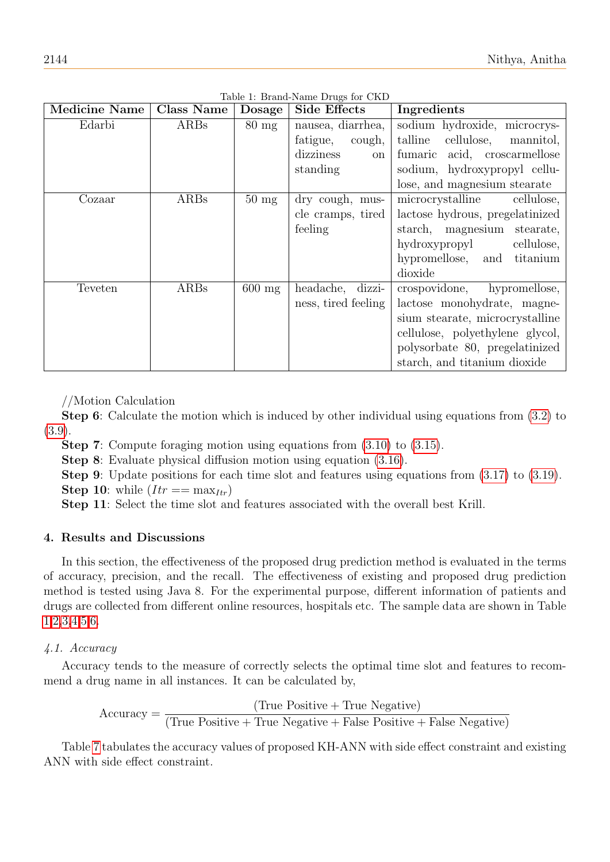| <b>Medicine Name</b> | Class Name | Dosage          | <b>Side Effects</b> | Ingredients                        |
|----------------------|------------|-----------------|---------------------|------------------------------------|
| Edarbi               | ARBs       | $80 \text{ mg}$ | nausea, diarrhea,   | sodium hydroxide, microcrys-       |
|                      |            |                 | fatigue,<br>cough,  | talline<br>cellulose,<br>mannitol, |
|                      |            |                 | dizziness<br>on     | acid, croscarmellose<br>fumaric    |
|                      |            |                 | standing            | sodium, hydroxypropyl cellu-       |
|                      |            |                 |                     | lose, and magnesium stearate       |
| Cozaar               | ARBs       | $50 \text{ mg}$ | dry cough, mus-     | microcrystalline<br>cellulose,     |
|                      |            |                 | cle cramps, tired   | lactose hydrous, pregelatinized    |
|                      |            |                 | feeling             | starch, magnesium stearate,        |
|                      |            |                 |                     | hydroxypropyl<br>cellulose,        |
|                      |            |                 |                     | hypromellose, and titanium         |
|                      |            |                 |                     | dioxide                            |
| Teveten              | ARBs       | $600$ mg        | headache, dizzi-    | crospovidone, hypromellose,        |
|                      |            |                 | ness, tired feeling | lactose monohydrate, magne-        |
|                      |            |                 |                     | sium stearate, microcrystalline    |
|                      |            |                 |                     | cellulose, polyethylene glycol,    |
|                      |            |                 |                     | polysorbate 80, pregelatinized     |
|                      |            |                 |                     | starch, and titanium dioxide       |

<span id="page-7-0"></span>Table 1: Brand-Name Drugs for CKD

//Motion Calculation

Step 6: Calculate the motion which is induced by other individual using equations from [\(3.2\)](#page-4-0) to [\(3.9\)](#page-5-0).

Step 7: Compute foraging motion using equations from [\(3.10\)](#page-5-1) to [\(3.15\)](#page-5-2).

Step 8: Evaluate physical diffusion motion using equation [\(3.16\)](#page-6-0).

Step 9: Update positions for each time slot and features using equations from [\(3.17\)](#page-6-1) to [\(3.19\)](#page-6-2). Step 10: while  $(Itr == max_{Itr})$ 

Step 11: Select the time slot and features associated with the overall best Krill.

## 4. Results and Discussions

In this section, the effectiveness of the proposed drug prediction method is evaluated in the terms of accuracy, precision, and the recall. The effectiveness of existing and proposed drug prediction method is tested using Java 8. For the experimental purpose, different information of patients and drugs are collected from different online resources, hospitals etc. The sample data are shown in Table [1,](#page-7-0)[2](#page-8-0)[,3,](#page-8-1)[4,](#page-9-0)[5,](#page-10-0)[6.](#page-11-0)

## 4.1. Accuracy

Accuracy tends to the measure of correctly selects the optimal time slot and features to recommend a drug name in all instances. It can be calculated by,

$$
Accuracy = \frac{(True \ Positive + True \ Negative)}{(True \ Positive + True \ Negative + False \ Positive + False \ Negative)}
$$

Table [7](#page-11-1) tabulates the accuracy values of proposed KH-ANN with side effect constraint and existing ANN with side effect constraint.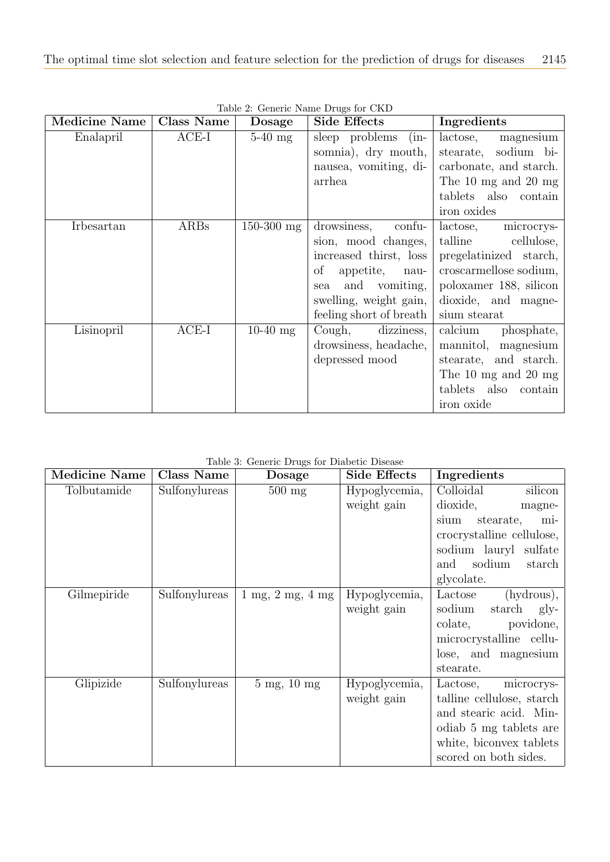| <b>Medicine Name</b> | <b>Class Name</b> | <b>Dosage</b> | Side Effects                    | Ingredients            |
|----------------------|-------------------|---------------|---------------------------------|------------------------|
| Enalapril            | $ACE-I$           | $5-40$ mg     | sleep problems (in-             | lactose,<br>magnesium  |
|                      |                   |               | somnia), dry mouth,             | stearate, sodium bi-   |
|                      |                   |               | nausea, vomiting, di-           | carbonate, and starch. |
|                      |                   |               | arrhea                          | The 10 mg and 20 mg    |
|                      |                   |               |                                 | tablets also contain   |
|                      |                   |               |                                 | iron oxides            |
| Irbesartan           | ARBs              | $150-300$ mg  | drowsiness, confu-              | lactose,<br>microcrys- |
|                      |                   |               | sion, mood changes,             | talline cellulose,     |
|                      |                   |               | increased thirst, loss          | pregelatinized starch, |
|                      |                   |               | $\mathrm{of}$<br>appetite, nau- | croscarmellose sodium, |
|                      |                   |               | and vomiting,<br>sea            | poloxamer 188, silicon |
|                      |                   |               | swelling, weight gain,          | dioxide, and magne-    |
|                      |                   |               | feeling short of breath         | sium stearat           |
| Lisinopril           | $ACE-I$           | $10-40$ mg    | Cough, dizziness,               | calcium<br>phosphate,  |
|                      |                   |               | drowsiness, headache,           | mannitol, magnesium    |
|                      |                   |               | depressed mood                  | stearate, and starch.  |
|                      |                   |               |                                 | The 10 mg and 20 mg    |
|                      |                   |               |                                 | tablets also contain   |
|                      |                   |               |                                 | iron oxide             |

<span id="page-8-0"></span>Table 2: Generic Name Drugs for CKD

<span id="page-8-1"></span>

|  |  |  |  | Table 3: Generic Drugs for Diabetic Disease |  |
|--|--|--|--|---------------------------------------------|--|
|--|--|--|--|---------------------------------------------|--|

| <b>Medicine Name</b> | <b>Class Name</b> | Dosage                                     | <b>Side Effects</b> | Ingredients                                |
|----------------------|-------------------|--------------------------------------------|---------------------|--------------------------------------------|
| Tolbutamide          | Sulfonylureas     | $500$ mg                                   | Hypoglycemia,       | Colloidal<br>silicon                       |
|                      |                   |                                            | weight gain         | dioxide,<br>magne-                         |
|                      |                   |                                            |                     | stearate,<br>sium<br>mi-                   |
|                      |                   |                                            |                     | crocrystalline cellulose,                  |
|                      |                   |                                            |                     | sodium lauryl sulfate                      |
|                      |                   |                                            |                     | sodium<br>and<br>starch                    |
|                      |                   |                                            |                     | glycolate.                                 |
| Gilmepiride          | Sulfonylureas     | $1 \text{ mg}, 2 \text{ mg}, 4 \text{ mg}$ | Hypoglycemia,       | (hydrous),<br>Lactose                      |
|                      |                   |                                            | weight gain         | sodium<br>starch<br>$g_{\rm}$ <sub>1</sub> |
|                      |                   |                                            |                     | povidone,<br>colate,                       |
|                      |                   |                                            |                     | microcrystalline cellu-                    |
|                      |                   |                                            |                     | lose, and magnesium                        |
|                      |                   |                                            |                     | stearate.                                  |
| Glipizide            | Sulfonylureas     | $5 \text{ mg}$ , $10 \text{ mg}$           | Hypoglycemia,       | Lactose,<br>microcrys-                     |
|                      |                   |                                            | weight gain         | talline cellulose, starch                  |
|                      |                   |                                            |                     | and stearic acid. Min-                     |
|                      |                   |                                            |                     | odiab 5 mg tablets are                     |
|                      |                   |                                            |                     | white, biconvex tablets                    |
|                      |                   |                                            |                     | scored on both sides.                      |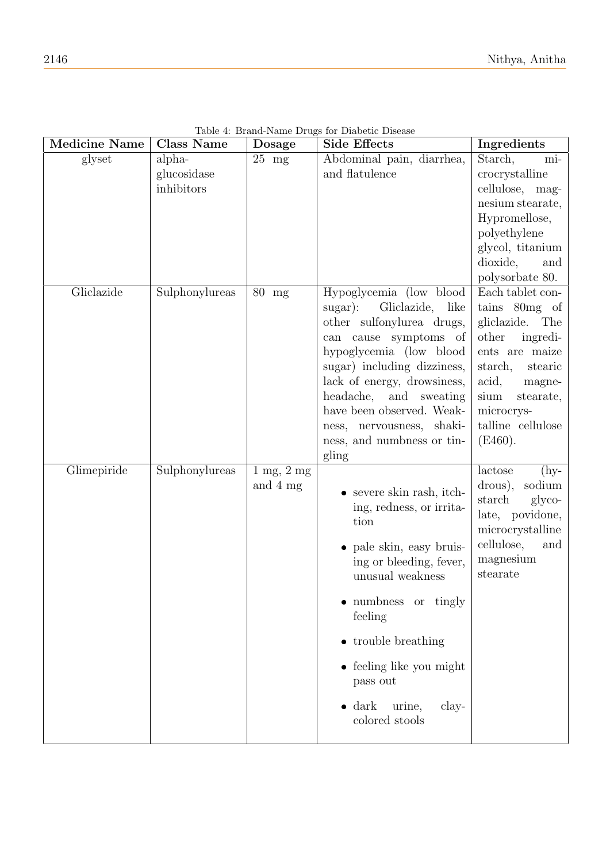| <b>Medicine Name</b> | Class Name     | Dosage                          | <b>Side Effects</b>                                      | Ingredients                          |
|----------------------|----------------|---------------------------------|----------------------------------------------------------|--------------------------------------|
| glyset               | alpha-         | $\overline{25}$ mg              | Abdominal pain, diarrhea,                                | Starch,<br>mi-                       |
|                      | glucosidase    |                                 | and flatulence                                           | crocrystalline                       |
|                      | inhibitors     |                                 |                                                          | cellulose, mag-                      |
|                      |                |                                 |                                                          | nesium stearate,                     |
|                      |                |                                 |                                                          | Hypromellose,                        |
|                      |                |                                 |                                                          | polyethylene                         |
|                      |                |                                 |                                                          | glycol, titanium                     |
|                      |                |                                 |                                                          | dioxide,<br>and                      |
|                      |                |                                 |                                                          | polysorbate 80.                      |
| Gliclazide           | Sulphonylureas | 80 mg                           | Hypoglycemia (low blood                                  | Each tablet con-                     |
|                      |                |                                 | $sugar)$ :<br>Gliclazide,<br>like                        | tains 80mg of                        |
|                      |                |                                 | other sulfonylurea drugs,                                | gliclazide.<br>The                   |
|                      |                |                                 | can cause symptoms of                                    | other<br>ingredi-                    |
|                      |                |                                 | hypoglycemia (low blood                                  | ents are maize                       |
|                      |                |                                 | sugar) including dizziness,                              | starch,<br>stearic                   |
|                      |                |                                 | lack of energy, drowsiness,<br>headache,<br>and sweating | acid,<br>magne-<br>sium<br>stearate, |
|                      |                |                                 | have been observed. Weak-                                | microcrys-                           |
|                      |                |                                 | ness, nervousness, shaki-                                | talline cellulose                    |
|                      |                |                                 | ness, and numbness or tin-                               | (E460).                              |
|                      |                |                                 | gling                                                    |                                      |
| Glimepiride          | Sulphonylureas | $1 \text{ mg}$ , $2 \text{ mg}$ |                                                          | lactose<br>$(hy-$                    |
|                      |                | and $4 \text{ mg}$              |                                                          | sodium<br>drous),                    |
|                      |                |                                 | $\bullet$ severe skin rash, itch-                        | starch<br>glyco-                     |
|                      |                |                                 | ing, redness, or irrita-                                 | late, povidone,                      |
|                      |                |                                 | tion                                                     | microcrystalline                     |
|                      |                |                                 | • pale skin, easy bruis-                                 | cellulose,<br>and                    |
|                      |                |                                 | ing or bleeding, fever,                                  | magnesium                            |
|                      |                |                                 | unusual weakness                                         | stearate                             |
|                      |                |                                 | $\bullet$ numbness<br>or tingly                          |                                      |
|                      |                |                                 | feeling                                                  |                                      |
|                      |                |                                 | • trouble breathing                                      |                                      |
|                      |                |                                 | $\bullet$ feeling like you might                         |                                      |
|                      |                |                                 | pass out                                                 |                                      |
|                      |                |                                 | $\bullet$ dark<br>urine,<br>clay-                        |                                      |
|                      |                |                                 | colored stools                                           |                                      |

<span id="page-9-0"></span>Table 4: Brand-Name Drugs for Diabetic Disease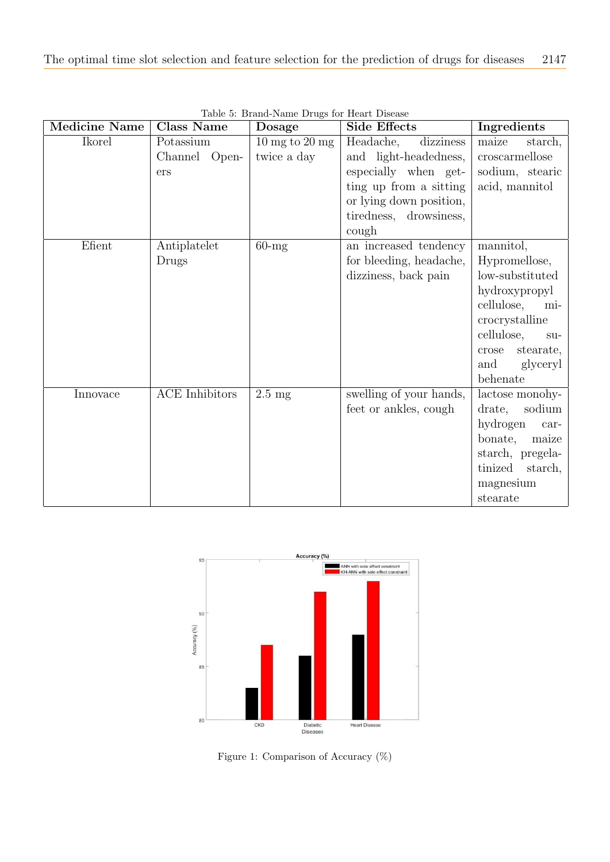| <b>Medicine Name</b> | <b>Class Name</b>          | Dosage                                            | <b>Side Effects</b>                                                                                          | Ingredients                                                                                                                                                                              |
|----------------------|----------------------------|---------------------------------------------------|--------------------------------------------------------------------------------------------------------------|------------------------------------------------------------------------------------------------------------------------------------------------------------------------------------------|
| Ikorel               | Potassium<br>Channel Open- | $10 \text{ mg}$ to $20 \text{ mg}$<br>twice a day | dizziness<br>Headache,<br>and light-headedness,                                                              | maize<br>starch,<br>$\,$ croscarmellose                                                                                                                                                  |
|                      | ers                        |                                                   | especially when get-<br>ting up from a sitting<br>or lying down position,<br>tiredness, drowsiness,<br>cough | sodium, stearic<br>acid, mannitol                                                                                                                                                        |
| Efient               | Antiplatelet<br>Drugs      | $60$ -mg                                          | an increased tendency<br>for bleeding, headache,<br>dizziness, back pain                                     | mannitol,<br>Hypromellose,<br>low-substituted<br>hydroxypropyl<br>cellulose,<br>mi-<br>crocrystalline<br>cellulose,<br>$\text{SU}-$<br>stearate,<br>crose<br>and<br>glyceryl<br>behenate |
| Innovace             | <b>ACE</b> Inhibitors      | $2.5 \text{ mg}$                                  | swelling of your hands,<br>feet or ankles, cough                                                             | lactose monohy-<br>sodium<br>drate,<br>hydrogen<br>$car-$<br>bonate,<br>maize<br>starch, pregela-<br>tinized<br>starch,<br>magnesium<br>stearate                                         |

<span id="page-10-0"></span>Table 5: Brand-Name Drugs for Heart Disease



<span id="page-10-1"></span>Figure 1: Comparison of Accuracy (%)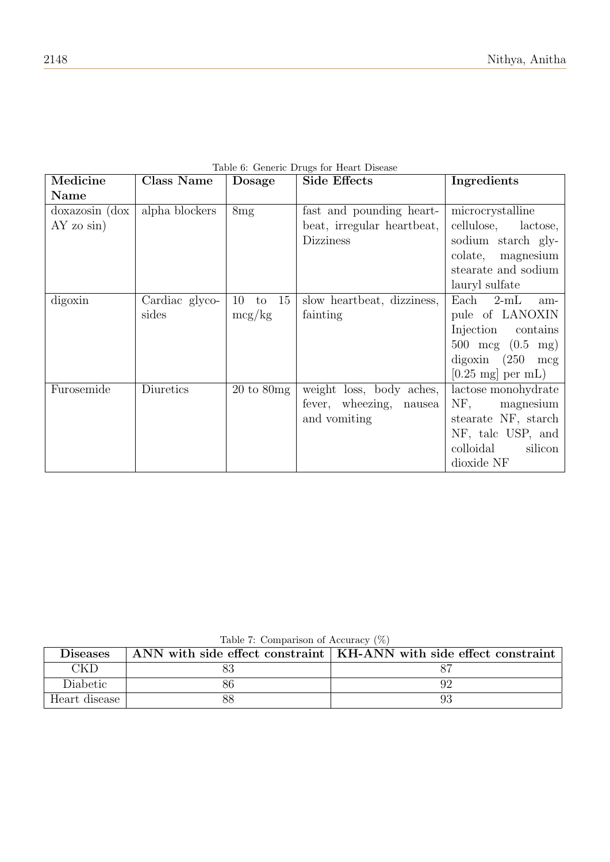| Medicine       | <b>Class Name</b> | <b>Dosage</b>                 | <b>Side Effects</b>        | Ingredients                        |
|----------------|-------------------|-------------------------------|----------------------------|------------------------------------|
| Name           |                   |                               |                            |                                    |
| doxazosin (dox | alpha blockers    | 8mg                           | fast and pounding heart-   | microcrystalline                   |
| $AY$ zo $sin)$ |                   |                               | beat, irregular heartbeat, | cellulose,<br>lactose,             |
|                |                   |                               | <b>Dizziness</b>           | sodium starch gly-                 |
|                |                   |                               |                            | colate, magnesium                  |
|                |                   |                               |                            | stearate and sodium                |
|                |                   |                               |                            | lauryl sulfate                     |
| digoxin        | Cardiac glyco-    | to $15$<br>10                 | slow heartbeat, dizziness, | Each $2\text{-mL}$<br>am-          |
|                | sides             | mcg/kg                        | fainting                   | pule of LANOXIN                    |
|                |                   |                               |                            | Injection<br>contains              |
|                |                   |                               |                            | 500 mcg $(0.5 \text{ mg})$         |
|                |                   |                               |                            | $digoxin$ (250 mcg)                |
|                |                   |                               |                            | $[0.25 \text{ mg}] \text{ per mL}$ |
| Furosemide     | Diuretics         | $20 \text{ to } 80 \text{mg}$ | weight loss, body aches,   | lactose monohydrate                |
|                |                   |                               | fever, wheezing,<br>nausea | NF, magnesium                      |
|                |                   |                               | and vomiting               | stearate NF, starch                |
|                |                   |                               |                            | NF, talc USP, and                  |
|                |                   |                               |                            | colloidal<br>silicon               |
|                |                   |                               |                            | dioxide NF                         |

## <span id="page-11-0"></span>Table 6: Generic Drugs for Heart Disease

<span id="page-11-1"></span>Table 7: Comparison of Accuracy (%)

|                 | $10010$ , $100111$ $100110011$ , $01010011$ , $0101$ |                                                                      |
|-----------------|------------------------------------------------------|----------------------------------------------------------------------|
| <b>Diseases</b> |                                                      | ANN with side effect constraint   KH-ANN with side effect constraint |
| CKD             |                                                      |                                                                      |
| Diabetic        |                                                      |                                                                      |
| Heart disease   |                                                      |                                                                      |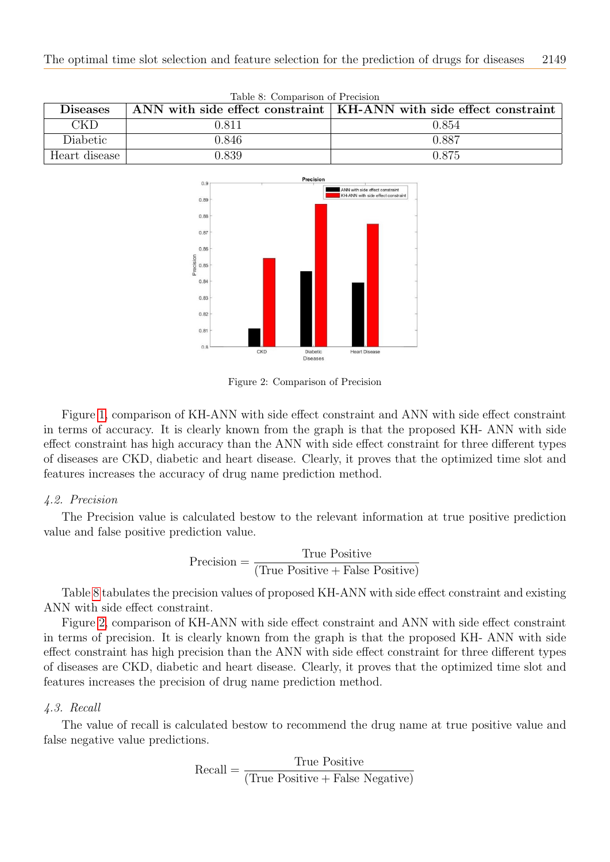| <b>Diseases</b> |       | ANN with side effect constraint $\vert$ KH-ANN with side effect constraint |
|-----------------|-------|----------------------------------------------------------------------------|
| CKD             | 0.811 | 0.854                                                                      |
| Diabetic        | 0.846 | 0.887                                                                      |
| Heart disease   | 0.839 | 0.875                                                                      |

<span id="page-12-0"></span>Table 8: Comparison of Precision



<span id="page-12-1"></span>Figure 2: Comparison of Precision

Figure [1,](#page-10-1) comparison of KH-ANN with side effect constraint and ANN with side effect constraint in terms of accuracy. It is clearly known from the graph is that the proposed KH- ANN with side effect constraint has high accuracy than the ANN with side effect constraint for three different types of diseases are CKD, diabetic and heart disease. Clearly, it proves that the optimized time slot and features increases the accuracy of drug name prediction method.

#### 4.2. Precision

The Precision value is calculated bestow to the relevant information at true positive prediction value and false positive prediction value.

$$
Precision = \frac{True \ Positive}{(True \ Positive + False \ Positive)}
$$

Table [8](#page-12-0) tabulates the precision values of proposed KH-ANN with side effect constraint and existing ANN with side effect constraint.

Figure [2,](#page-12-1) comparison of KH-ANN with side effect constraint and ANN with side effect constraint in terms of precision. It is clearly known from the graph is that the proposed KH- ANN with side effect constraint has high precision than the ANN with side effect constraint for three different types of diseases are CKD, diabetic and heart disease. Clearly, it proves that the optimized time slot and features increases the precision of drug name prediction method.

#### 4.3. Recall

The value of recall is calculated bestow to recommend the drug name at true positive value and false negative value predictions.

$$
Recall = \frac{True \ Positive}{(True \ Positive + False \ Negative)}
$$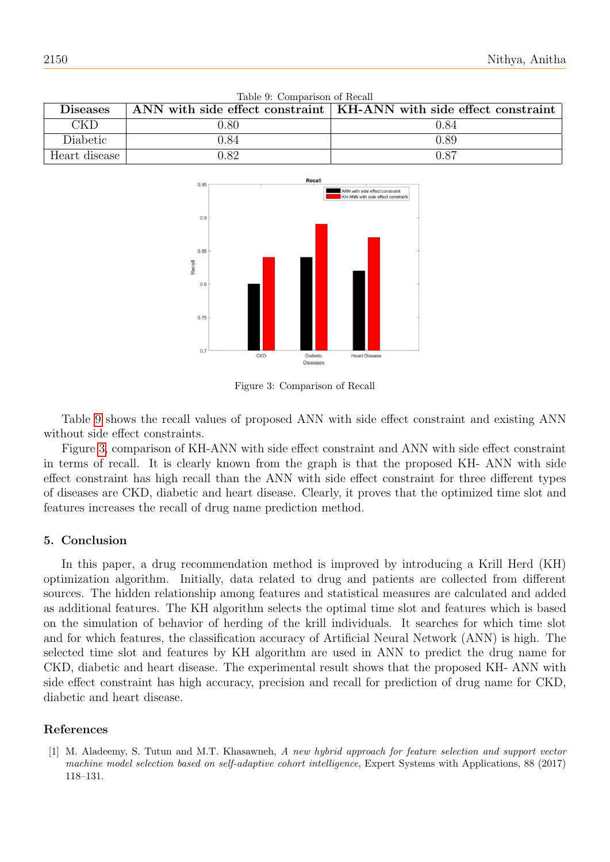| <b>Diseases</b> |      | ANN with side effect constraint $\vert$ KH-ANN with side effect constraint |
|-----------------|------|----------------------------------------------------------------------------|
| <b>CKD</b>      | 0.80 | 0.84                                                                       |
| Diabetic        | 0.84 | 0.89                                                                       |
| Heart disease   | 1.82 | 0.87                                                                       |

<span id="page-13-1"></span>



<span id="page-13-2"></span>Figure 3: Comparison of Recall

Table [9](#page-13-1) shows the recall values of proposed ANN with side effect constraint and existing ANN without side effect constraints.

Figure [3,](#page-13-2) comparison of KH-ANN with side effect constraint and ANN with side effect constraint in terms of recall. It is clearly known from the graph is that the proposed KH- ANN with side effect constraint has high recall than the ANN with side effect constraint for three different types of diseases are CKD, diabetic and heart disease. Clearly, it proves that the optimized time slot and features increases the recall of drug name prediction method.

## 5. Conclusion

In this paper, a drug recommendation method is improved by introducing a Krill Herd (KH) optimization algorithm. Initially, data related to drug and patients are collected from different sources. The hidden relationship among features and statistical measures are calculated and added as additional features. The KH algorithm selects the optimal time slot and features which is based on the simulation of behavior of herding of the krill individuals. It searches for which time slot and for which features, the classification accuracy of Artificial Neural Network (ANN) is high. The selected time slot and features by KH algorithm are used in ANN to predict the drug name for CKD, diabetic and heart disease. The experimental result shows that the proposed KH- ANN with side effect constraint has high accuracy, precision and recall for prediction of drug name for CKD, diabetic and heart disease.

## References

<span id="page-13-0"></span>[1] M. Aladeemy, S. Tutun and M.T. Khasawneh, A new hybrid approach for feature selection and support vector machine model selection based on self-adaptive cohort intelligence, Expert Systems with Applications, 88 (2017) 118–131.